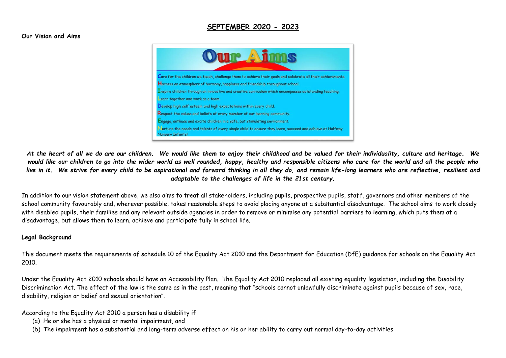# **SEPTEMBER 2020 - 2023**

#### **Our Vision and Aims**



*At the heart of all we do are our children. We would like them to enjoy their childhood and be valued for their individuality, culture and heritage. We would like our children to go into the wider world as well rounded, happy, healthy and responsible citizens who care for the world and all the people who live in it. We strive for every child to be aspirational and forward thinking in all they do, and remain life-long learners who are reflective, resilient and adaptable to the challenges of life in the 21st century.*

In addition to our vision statement above, we also aims to treat all stakeholders, including pupils, prospective pupils, staff, governors and other members of the school community favourably and, wherever possible, takes reasonable steps to avoid placing anyone at a substantial disadvantage. The school aims to work closely with disabled pupils, their families and any relevant outside agencies in order to remove or minimise any potential barriers to learning, which puts them at a disadvantage, but allows them to learn, achieve and participate fully in school life.

#### **Legal Background**

This document meets the requirements of schedule 10 of the Equality Act 2010 and the Department for Education (DfE) guidance for schools on the Equality Act 2010.

Under the Equality Act 2010 schools should have an Accessibility Plan. The Equality Act 2010 replaced all existing equality legislation, including the Disability Discrimination Act. The effect of the law is the same as in the past, meaning that "schools cannot unlawfully discriminate against pupils because of sex, race, disability, religion or belief and sexual orientation".

According to the Equality Act 2010 a person has a disability if:

- (a) He or she has a physical or mental impairment, and
- (b) The impairment has a substantial and long-term adverse effect on his or her ability to carry out normal day-to-day activities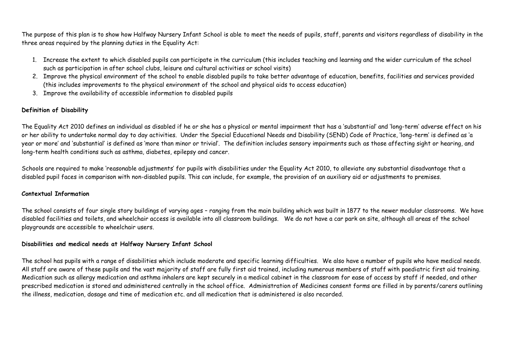The purpose of this plan is to show how Halfway Nursery Infant School is able to meet the needs of pupils, staff, parents and visitors regardless of disability in the three areas required by the planning duties in the Equality Act:

- 1. Increase the extent to which disabled pupils can participate in the curriculum (this includes teaching and learning and the wider curriculum of the school such as participation in after school clubs, leisure and cultural activities or school visits)
- 2. Improve the physical environment of the school to enable disabled pupils to take better advantage of education, benefits, facilities and services provided (this includes improvements to the physical environment of the school and physical aids to access education)
- 3. Improve the availability of accessible information to disabled pupils

## **Definition of Disability**

The Equality Act 2010 defines an individual as disabled if he or she has a physical or mental impairment that has a 'substantial' and 'long-term' adverse effect on his or her ability to undertake normal day to day activities. Under the Special Educational Needs and Disability (SEND) Code of Practice, 'long-term' is defined as 'a year or more' and 'substantial' is defined as 'more than minor or trivial'. The definition includes sensory impairments such as those affecting sight or hearing, and long-term health conditions such as asthma, diabetes, epilepsy and cancer.

Schools are required to make 'reasonable adjustments' for pupils with disabilities under the Equality Act 2010, to alleviate any substantial disadvantage that a disabled pupil faces in comparison with non-disabled pupils. This can include, for example, the provision of an auxiliary aid or adjustments to premises.

### **Contextual Information**

The school consists of four single story buildings of varying ages – ranging from the main building which was built in 1877 to the newer modular classrooms. We have disabled facilities and toilets, and wheelchair access is available into all classroom buildings. We do not have a car park on site, although all areas of the school playgrounds are accessible to wheelchair users.

### **Disabilities and medical needs at Halfway Nursery Infant School**

The school has pupils with a range of disabilities which include moderate and specific learning difficulties. We also have a number of pupils who have medical needs. All staff are aware of these pupils and the vast majority of staff are fully first aid trained, including numerous members of staff with paediatric first aid training. Medication such as allergy medication and asthma inhalers are kept securely in a medical cabinet in the classroom for ease of access by staff if needed, and other prescribed medication is stored and administered centrally in the school office. Administration of Medicines consent forms are filled in by parents/carers outlining the illness, medication, dosage and time of medication etc. and all medication that is administered is also recorded.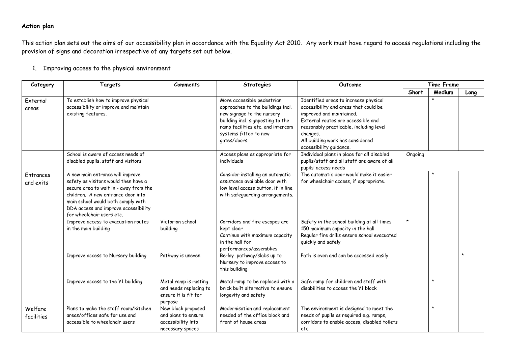## **Action plan**

This action plan sets out the aims of our accessibility plan in accordance with the Equality Act 2010. Any work must have regard to access regulations including the provision of signs and decoration irrespective of any targets set out below.

1. Improving access to the physical environment

| Category               | Targets                                                                                                                                                                                                                                                             | <b>Comments</b>                                                                     | <b>Strategies</b>                                                                                                                                                                                                | Outcome                                                                                                                                                                                                                                                                | <b>Time Frame</b> |         |         |
|------------------------|---------------------------------------------------------------------------------------------------------------------------------------------------------------------------------------------------------------------------------------------------------------------|-------------------------------------------------------------------------------------|------------------------------------------------------------------------------------------------------------------------------------------------------------------------------------------------------------------|------------------------------------------------------------------------------------------------------------------------------------------------------------------------------------------------------------------------------------------------------------------------|-------------------|---------|---------|
|                        |                                                                                                                                                                                                                                                                     |                                                                                     |                                                                                                                                                                                                                  |                                                                                                                                                                                                                                                                        | Short             | Medium  | Long    |
| External<br>areas      | To establish how to improve physical<br>accessibility or improve and maintain<br>existing features.                                                                                                                                                                 |                                                                                     | More accessible pedestrian<br>approaches to the buildings incl.<br>new signage to the nursery<br>building incl. signposting to the<br>ramp facilities etc. and intercom<br>systems fitted to new<br>gates/doors. | Identified areas to increase physical<br>accessibility and areas that could be<br>improved and maintained.<br>External routes are accessible and<br>reasonably practicable, including level<br>changes.<br>All building work has considered<br>accessibility guidance. |                   |         |         |
|                        | School is aware of access needs of<br>disabled pupils, staff and visitors                                                                                                                                                                                           |                                                                                     | Access plans as appropriate for<br>individuals                                                                                                                                                                   | Individual plans in place for all disabled<br>pupils/staff and all staff are aware of all<br>pupils' access needs                                                                                                                                                      | Ongoing           |         |         |
| Entrances<br>and exits | A new main entrance will improve<br>safety as visitors would then have a<br>secure area to wait in - away from the<br>children. A new entrance door into<br>main school would both comply with<br>DDA access and improve accessibility<br>for wheelchair users etc. |                                                                                     | Consider installing an automatic<br>assistance available door with<br>low level access button, if in line<br>with safeguarding arrangements.                                                                     | The automatic door would make it easier<br>for wheelchair access, if appropriate.                                                                                                                                                                                      |                   |         |         |
|                        | Improve access to evacuation routes<br>in the main building                                                                                                                                                                                                         | Victorian school<br>building                                                        | Corridors and fire escapes are<br>kept clear<br>Continue with maximum capacity<br>in the hall for<br>performances/assemblies                                                                                     | Safety in the school building at all times<br>150 maximum capacity in the hall<br>Regular fire drills ensure school evacuated<br>quickly and safely                                                                                                                    | *                 |         |         |
|                        | Improve access to Nursery building                                                                                                                                                                                                                                  | Pathway is uneven                                                                   | Re-lay pathway/slabs up to<br>Nursery to improve access to<br>this building                                                                                                                                      | Path is even and can be accessed easily                                                                                                                                                                                                                                |                   |         | $\star$ |
|                        | Improve access to the Y1 building                                                                                                                                                                                                                                   | Metal ramp is rusting<br>and needs replacing to<br>ensure it is fit for<br>purpose  | Metal ramp to be replaced with a<br>brick built alternative to ensure<br>longevity and safety                                                                                                                    | Safe ramp for children and staff with<br>disabilities to access the Y1 block                                                                                                                                                                                           |                   | $\star$ |         |
| Welfare<br>facilities  | Plans to make the staff room/kitchen<br>areas/offices safe for use and<br>accessible to wheelchair users                                                                                                                                                            | New block proposed<br>and plans to ensure<br>accessibility into<br>necessary spaces | Modernisation and replacement<br>needed of the office block and<br>front of house areas                                                                                                                          | The environment is designed to meet the<br>needs of pupils as required e.g. ramps,<br>corridors to enable access, disabled toilets<br>etc.                                                                                                                             |                   | $\star$ |         |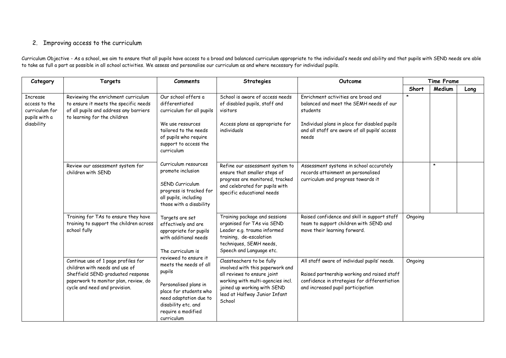### 2. Improving access to the curriculum

Curriculum Objective - As a school, we aim to ensure that all pupils have access to a broad and balanced curriculum appropriate to the individual's needs and ability and that pupils with SEND needs are able to take as full a part as possible in all school activities. We assess and personalise our curriculum as and where necessary for individual pupils.

| Category                                                                          | Targets                                                                                                                                                                              | <b>Comments</b>                                                                                                                                                                 | <b>Strategies</b>                                                                                                                                                                                           | Outcome                                                                                                                                                                                               | <b>Time Frame</b> |         |      |
|-----------------------------------------------------------------------------------|--------------------------------------------------------------------------------------------------------------------------------------------------------------------------------------|---------------------------------------------------------------------------------------------------------------------------------------------------------------------------------|-------------------------------------------------------------------------------------------------------------------------------------------------------------------------------------------------------------|-------------------------------------------------------------------------------------------------------------------------------------------------------------------------------------------------------|-------------------|---------|------|
|                                                                                   |                                                                                                                                                                                      |                                                                                                                                                                                 |                                                                                                                                                                                                             |                                                                                                                                                                                                       | Short             | Medium  | Long |
| <b>Increase</b><br>access to the<br>curriculum for<br>pupils with a<br>disability | Reviewing the enrichment curriculum<br>to ensure it meets the specific needs<br>of all pupils and address any barriers<br>to learning for the children                               | Our school offers a<br>differentiated<br>curriculum for all pupils<br>We use resources<br>tailored to the needs<br>of pupils who require<br>support to access the<br>curriculum | School is aware of access needs<br>of disabled pupils, staff and<br>visitors<br>Access plans as appropriate for<br>individuals                                                                              | Enrichment activities are broad and<br>balanced and meet the SEMH needs of our<br>students<br>Individual plans in place for disabled pupils<br>and all staff are aware of all pupils' access<br>needs | $\star$           |         |      |
|                                                                                   | Review our assessment system for<br>children with SEND                                                                                                                               | Curriculum resources<br>promote inclusion<br>SEND Curriculum<br>progress is tracked for<br>all pupils, including<br>those with a disability                                     | Refine our assessment system to<br>ensure that smaller steps of<br>progress are monitored, tracked<br>and celebrated for pupils with<br>specific educational needs                                          | Assessment systems in school accurately<br>records attainment on personalised<br>curriculum and progress towards it                                                                                   |                   | $\star$ |      |
|                                                                                   | Training for TAs to ensure they have<br>training to support the children across<br>school fully                                                                                      | Targets are set<br>effectively and are<br>appropriate for pupils<br>with additional needs<br>The curriculum is<br>reviewed to ensure it                                         | Training package and sessions<br>organised for TAs via SEND<br>Leader e.g. trauma informed<br>training, de-escalation<br>techniques, SEMH needs,<br>Speech and Language etc.                                | Raised confidence and skill in support staff<br>team to support children with SEND and<br>move their learning forward.                                                                                | Ongoing           |         |      |
|                                                                                   | Continue use of 1 page profiles for<br>children with needs and use of<br>Sheffield SEND graduated response<br>paperwork to monitor plan, review, do<br>cycle and need and provision. | meets the needs of all<br>pupils<br>Personalised plans in<br>place for students who<br>need adaptation due to<br>disability etc. and<br>require a modified<br>curriculum        | Classteachers to be fully<br>involved with this paperwork and<br>all reviews to ensure joint<br>working with multi-agencies incl.<br>joined up working with SEND<br>lead at Halfway Junior Infant<br>School | All staff aware of individual pupils' needs.<br>Raised partnership working and raised staff<br>confidence in strategies for differentiation<br>and increased pupil participation                      | Ongoing           |         |      |